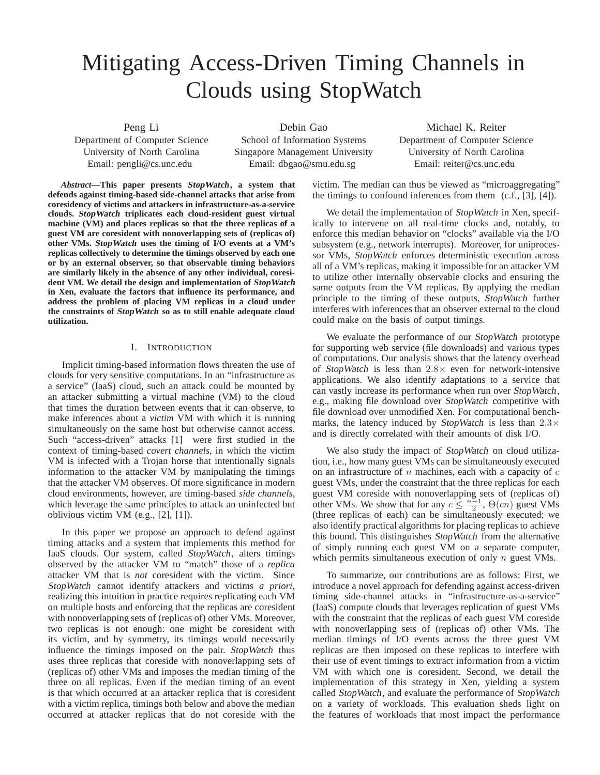# Mitigating Access-Driven Timing Channels in Clouds using StopWatch

Peng Li Department of Computer Science University of North Carolina Email: pengli@cs.unc.edu

Debin Gao School of Information Systems Singapore Management University Email: dbgao@smu.edu.sg

Michael K. Reiter Department of Computer Science University of North Carolina Email: reiter@cs.unc.edu

*Abstract***—This paper presents StopWatch, a system that defends against timing-based side-channel attacks that arise from coresidency of victims and attackers in infrastructure-as-a-service clouds. StopWatch triplicates each cloud-resident guest virtual machine (VM) and places replicas so that the three replicas of a guest VM are coresident with nonoverlapping sets of (replicas of) other VMs. StopWatch uses the timing of I/O events at a VM's replicas collectively to determine the timings observed by each one or by an external observer, so that observable timing behaviors are similarly likely in the absence of any other individual, coresident VM. We detail the design and implementation of StopWatch in Xen, evaluate the factors that influence its performance, and address the problem of placing VM replicas in a cloud under the constraints of StopWatch so as to still enable adequate cloud utilization.**

#### I. INTRODUCTION

Implicit timing-based information flows threaten the use of clouds for very sensitive computations. In an "infrastructure as a service" (IaaS) cloud, such an attack could be mounted by an attacker submitting a virtual machine (VM) to the cloud that times the duration between events that it can observe, to make inferences about a *victim* VM with which it is running simultaneously on the same host but otherwise cannot access. Such "access-driven" attacks [1] were first studied in the context of timing-based *covert channels*, in which the victim VM is infected with a Trojan horse that intentionally signals information to the attacker VM by manipulating the timings that the attacker VM observes. Of more significance in modern cloud environments, however, are timing-based *side channels*, which leverage the same principles to attack an uninfected but oblivious victim VM (e.g., [2], [1]).

In this paper we propose an approach to defend against timing attacks and a system that implements this method for IaaS clouds. Our system, called StopWatch, alters timings observed by the attacker VM to "match" those of a *replica* attacker VM that is *not* coresident with the victim. Since StopWatch cannot identify attackers and victims *a priori*, realizing this intuition in practice requires replicating each VM on multiple hosts and enforcing that the replicas are coresident with nonoverlapping sets of (replicas of) other VMs. Moreover, two replicas is not enough: one might be coresident with its victim, and by symmetry, its timings would necessarily influence the timings imposed on the pair. StopWatch thus uses three replicas that coreside with nonoverlapping sets of (replicas of) other VMs and imposes the median timing of the three on all replicas. Even if the median timing of an event is that which occurred at an attacker replica that is coresident with a victim replica, timings both below and above the median occurred at attacker replicas that do not coreside with the victim. The median can thus be viewed as "microaggregating" the timings to confound inferences from them (c.f., [3], [4]).

We detail the implementation of StopWatch in Xen, specifically to intervene on all real-time clocks and, notably, to enforce this median behavior on "clocks" available via the I/O subsystem (e.g., network interrupts). Moreover, for uniprocessor VMs, StopWatch enforces deterministic execution across all of a VM's replicas, making it impossible for an attacker VM to utilize other internally observable clocks and ensuring the same outputs from the VM replicas. By applying the median principle to the timing of these outputs, StopWatch further interferes with inferences that an observer external to the cloud could make on the basis of output timings.

We evaluate the performance of our StopWatch prototype for supporting web service (file downloads) and various types of computations. Our analysis shows that the latency overhead of StopWatch is less than  $2.8\times$  even for network-intensive applications. We also identify adaptations to a service that can vastly increase its performance when run over StopWatch, e.g., making file download over StopWatch competitive with file download over unmodified Xen. For computational benchmarks, the latency induced by StopWatch is less than  $2.3\times$ and is directly correlated with their amounts of disk I/O.

We also study the impact of StopWatch on cloud utilization, i.e., how many guest VMs can be simultaneously executed on an infrastructure of  $n$  machines, each with a capacity of  $c$ guest VMs, under the constraint that the three replicas for each guest VM coreside with nonoverlapping sets of (replicas of) other VMs. We show that for any  $c \leq \frac{n-1}{2}$ ,  $\Theta(cn)$  guest VMs (three replicas of each) can be simultaneously executed; we also identify practical algorithms for placing replicas to achieve this bound. This distinguishes StopWatch from the alternative of simply running each guest VM on a separate computer, which permits simultaneous execution of only  $n$  guest VMs.

To summarize, our contributions are as follows: First, we introduce a novel approach for defending against access-driven timing side-channel attacks in "infrastructure-as-a-service" (IaaS) compute clouds that leverages replication of guest VMs with the constraint that the replicas of each guest VM coreside with nonoverlapping sets of (replicas of) other VMs. The median timings of I/O events across the three guest VM replicas are then imposed on these replicas to interfere with their use of event timings to extract information from a victim VM with which one is coresident. Second, we detail the implementation of this strategy in Xen, yielding a system called StopWatch, and evaluate the performance of StopWatch on a variety of workloads. This evaluation sheds light on the features of workloads that most impact the performance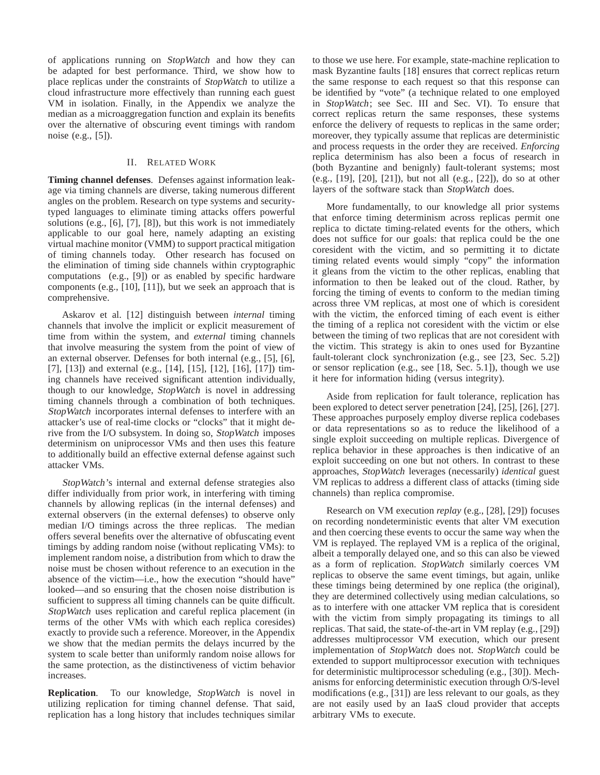of applications running on StopWatch and how they can be adapted for best performance. Third, we show how to place replicas under the constraints of StopWatch to utilize a cloud infrastructure more effectively than running each guest VM in isolation. Finally, in the Appendix we analyze the median as a microaggregation function and explain its benefits over the alternative of obscuring event timings with random noise (e.g., [5]).

# II. RELATED WORK

**Timing channel defenses**. Defenses against information leakage via timing channels are diverse, taking numerous different angles on the problem. Research on type systems and securitytyped languages to eliminate timing attacks offers powerful solutions (e.g., [6], [7], [8]), but this work is not immediately applicable to our goal here, namely adapting an existing virtual machine monitor (VMM) to support practical mitigation of timing channels today. Other research has focused on the elimination of timing side channels within cryptographic computations (e.g., [9]) or as enabled by specific hardware components (e.g., [10], [11]), but we seek an approach that is comprehensive.

Askarov et al. [12] distinguish between *internal* timing channels that involve the implicit or explicit measurement of time from within the system, and *external* timing channels that involve measuring the system from the point of view of an external observer. Defenses for both internal (e.g., [5], [6], [7], [13]) and external (e.g., [14], [15], [12], [16], [17]) timing channels have received significant attention individually, though to our knowledge, StopWatch is novel in addressing timing channels through a combination of both techniques. StopWatch incorporates internal defenses to interfere with an attacker's use of real-time clocks or "clocks" that it might derive from the I/O subsystem. In doing so, StopWatch imposes determinism on uniprocessor VMs and then uses this feature to additionally build an effective external defense against such attacker VMs.

StopWatch's internal and external defense strategies also differ individually from prior work, in interfering with timing channels by allowing replicas (in the internal defenses) and external observers (in the external defenses) to observe only median I/O timings across the three replicas. The median offers several benefits over the alternative of obfuscating event timings by adding random noise (without replicating VMs): to implement random noise, a distribution from which to draw the noise must be chosen without reference to an execution in the absence of the victim—i.e., how the execution "should have" looked—and so ensuring that the chosen noise distribution is sufficient to suppress all timing channels can be quite difficult. StopWatch uses replication and careful replica placement (in terms of the other VMs with which each replica coresides) exactly to provide such a reference. Moreover, in the Appendix we show that the median permits the delays incurred by the system to scale better than uniformly random noise allows for the same protection, as the distinctiveness of victim behavior increases.

**Replication**. To our knowledge, StopWatch is novel in utilizing replication for timing channel defense. That said, replication has a long history that includes techniques similar to those we use here. For example, state-machine replication to mask Byzantine faults [18] ensures that correct replicas return the same response to each request so that this response can be identified by "vote" (a technique related to one employed in StopWatch; see Sec. III and Sec. VI). To ensure that correct replicas return the same responses, these systems enforce the delivery of requests to replicas in the same order; moreover, they typically assume that replicas are deterministic and process requests in the order they are received. *Enforcing* replica determinism has also been a focus of research in (both Byzantine and benignly) fault-tolerant systems; most (e.g., [19], [20], [21]), but not all (e.g., [22]), do so at other layers of the software stack than StopWatch does.

More fundamentally, to our knowledge all prior systems that enforce timing determinism across replicas permit one replica to dictate timing-related events for the others, which does not suffice for our goals: that replica could be the one coresident with the victim, and so permitting it to dictate timing related events would simply "copy" the information it gleans from the victim to the other replicas, enabling that information to then be leaked out of the cloud. Rather, by forcing the timing of events to conform to the median timing across three VM replicas, at most one of which is coresident with the victim, the enforced timing of each event is either the timing of a replica not coresident with the victim or else between the timing of two replicas that are not coresident with the victim. This strategy is akin to ones used for Byzantine fault-tolerant clock synchronization (e.g., see [23, Sec. 5.2]) or sensor replication (e.g., see [18, Sec. 5.1]), though we use it here for information hiding (versus integrity).

Aside from replication for fault tolerance, replication has been explored to detect server penetration [24], [25], [26], [27]. These approaches purposely employ diverse replica codebases or data representations so as to reduce the likelihood of a single exploit succeeding on multiple replicas. Divergence of replica behavior in these approaches is then indicative of an exploit succeeding on one but not others. In contrast to these approaches, StopWatch leverages (necessarily) *identical* guest VM replicas to address a different class of attacks (timing side channels) than replica compromise.

Research on VM execution *replay* (e.g., [28], [29]) focuses on recording nondeterministic events that alter VM execution and then coercing these events to occur the same way when the VM is replayed. The replayed VM is a replica of the original, albeit a temporally delayed one, and so this can also be viewed as a form of replication. StopWatch similarly coerces VM replicas to observe the same event timings, but again, unlike these timings being determined by one replica (the original), they are determined collectively using median calculations, so as to interfere with one attacker VM replica that is coresident with the victim from simply propagating its timings to all replicas. That said, the state-of-the-art in VM replay (e.g., [29]) addresses multiprocessor VM execution, which our present implementation of StopWatch does not. StopWatch could be extended to support multiprocessor execution with techniques for deterministic multiprocessor scheduling (e.g., [30]). Mechanisms for enforcing deterministic execution through O/S-level modifications (e.g., [31]) are less relevant to our goals, as they are not easily used by an IaaS cloud provider that accepts arbitrary VMs to execute.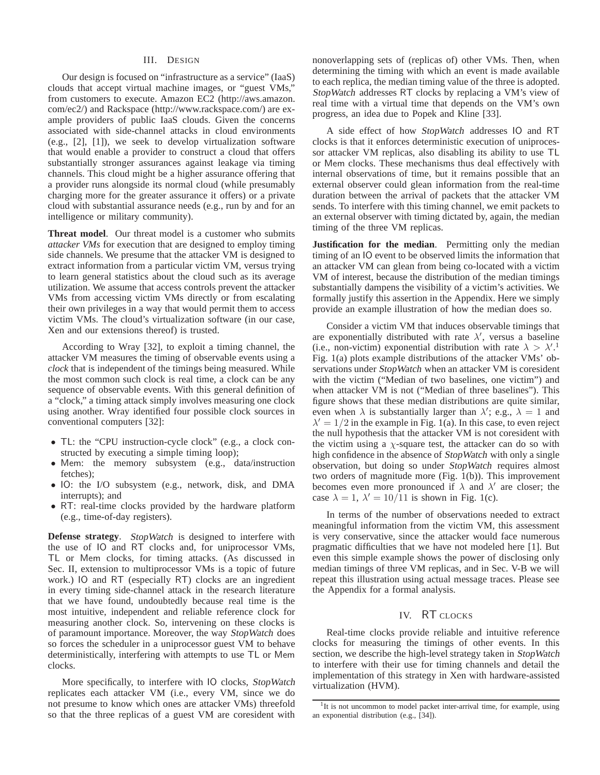#### III. DESIGN

Our design is focused on "infrastructure as a service" (IaaS) clouds that accept virtual machine images, or "guest VMs," from customers to execute. Amazon EC2 (http://aws.amazon. com/ec2/) and Rackspace (http://www.rackspace.com/) are example providers of public IaaS clouds. Given the concerns associated with side-channel attacks in cloud environments (e.g., [2], [1]), we seek to develop virtualization software that would enable a provider to construct a cloud that offers substantially stronger assurances against leakage via timing channels. This cloud might be a higher assurance offering that a provider runs alongside its normal cloud (while presumably charging more for the greater assurance it offers) or a private cloud with substantial assurance needs (e.g., run by and for an intelligence or military community).

**Threat model**. Our threat model is a customer who submits *attacker VMs* for execution that are designed to employ timing side channels. We presume that the attacker VM is designed to extract information from a particular victim VM, versus trying to learn general statistics about the cloud such as its average utilization. We assume that access controls prevent the attacker VMs from accessing victim VMs directly or from escalating their own privileges in a way that would permit them to access victim VMs. The cloud's virtualization software (in our case, Xen and our extensions thereof) is trusted.

According to Wray [32], to exploit a timing channel, the attacker VM measures the timing of observable events using a *clock* that is independent of the timings being measured. While the most common such clock is real time, a clock can be any sequence of observable events. With this general definition of a "clock," a timing attack simply involves measuring one clock using another. Wray identified four possible clock sources in conventional computers [32]:

- TL: the "CPU instruction-cycle clock" (e.g., a clock constructed by executing a simple timing loop);
- Mem: the memory subsystem (e.g., data/instruction fetches);
- IO: the I/O subsystem (e.g., network, disk, and DMA interrupts); and
- RT: real-time clocks provided by the hardware platform (e.g., time-of-day registers).

**Defense strategy**. StopWatch is designed to interfere with the use of IO and RT clocks and, for uniprocessor VMs, TL or Mem clocks, for timing attacks. (As discussed in Sec. II, extension to multiprocessor VMs is a topic of future work.) IO and RT (especially RT) clocks are an ingredient in every timing side-channel attack in the research literature that we have found, undoubtedly because real time is the most intuitive, independent and reliable reference clock for measuring another clock. So, intervening on these clocks is of paramount importance. Moreover, the way StopWatch does so forces the scheduler in a uniprocessor guest VM to behave deterministically, interfering with attempts to use TL or Mem clocks.

More specifically, to interfere with IO clocks, StopWatch replicates each attacker VM (i.e., every VM, since we do not presume to know which ones are attacker VMs) threefold so that the three replicas of a guest VM are coresident with nonoverlapping sets of (replicas of) other VMs. Then, when determining the timing with which an event is made available to each replica, the median timing value of the three is adopted. StopWatch addresses RT clocks by replacing a VM's view of real time with a virtual time that depends on the VM's own progress, an idea due to Popek and Kline [33].

A side effect of how StopWatch addresses IO and RT clocks is that it enforces deterministic execution of uniprocessor attacker VM replicas, also disabling its ability to use TL or Mem clocks. These mechanisms thus deal effectively with internal observations of time, but it remains possible that an external observer could glean information from the real-time duration between the arrival of packets that the attacker VM sends. To interfere with this timing channel, we emit packets to an external observer with timing dictated by, again, the median timing of the three VM replicas.

**Justification for the median**. Permitting only the median timing of an IO event to be observed limits the information that an attacker VM can glean from being co-located with a victim VM of interest, because the distribution of the median timings substantially dampens the visibility of a victim's activities. We formally justify this assertion in the Appendix. Here we simply provide an example illustration of how the median does so.

Consider a victim VM that induces observable timings that are exponentially distributed with rate  $\lambda'$ , versus a baseline (i.e., non-victim) exponential distribution with rate  $\lambda > \lambda'$ .<sup>1</sup> Fig. 1(a) plots example distributions of the attacker VMs' observations under StopWatch when an attacker VM is coresident with the victim ("Median of two baselines, one victim") and when attacker VM is not ("Median of three baselines"). This figure shows that these median distributions are quite similar, even when  $\lambda$  is substantially larger than  $\lambda'$ ; e.g.,  $\lambda = 1$  and  $\lambda' = 1/2$  in the example in Fig. 1(a). In this case, to even reject the null hypothesis that the attacker VM is not coresident with the victim using a  $\chi$ -square test, the attacker can do so with high confidence in the absence of StopWatch with only a single observation, but doing so under StopWatch requires almost two orders of magnitude more (Fig. 1(b)). This improvement becomes even more pronounced if  $\lambda$  and  $\lambda'$  are closer; the case  $\lambda = 1$ ,  $\lambda' = 10/11$  is shown in Fig. 1(c).

In terms of the number of observations needed to extract meaningful information from the victim VM, this assessment is very conservative, since the attacker would face numerous pragmatic difficulties that we have not modeled here [1]. But even this simple example shows the power of disclosing only median timings of three VM replicas, and in Sec. V-B we will repeat this illustration using actual message traces. Please see the Appendix for a formal analysis.

# IV. RT CLOCKS

Real-time clocks provide reliable and intuitive reference clocks for measuring the timings of other events. In this section, we describe the high-level strategy taken in StopWatch to interfere with their use for timing channels and detail the implementation of this strategy in Xen with hardware-assisted virtualization (HVM).

<sup>&</sup>lt;sup>1</sup>It is not uncommon to model packet inter-arrival time, for example, using an exponential distribution (e.g., [34]).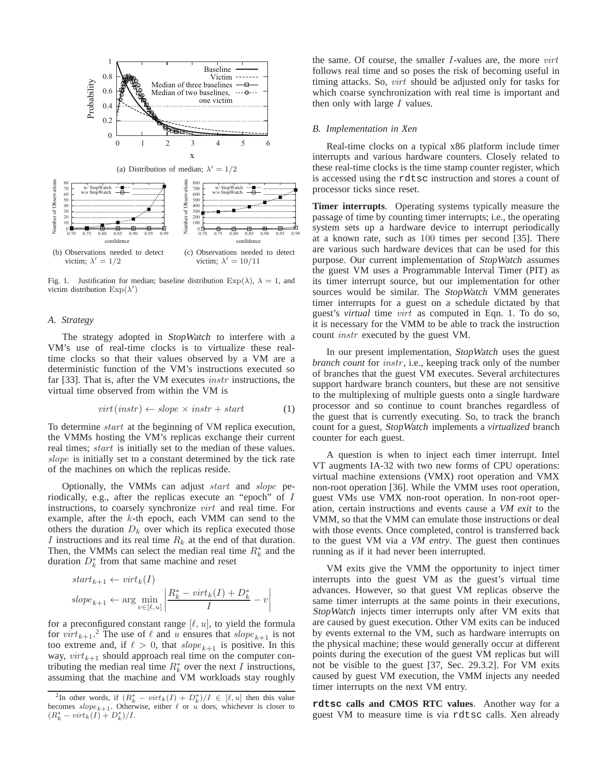

Fig. 1. Justification for median; baseline distribution  $Exp(\lambda)$ ,  $\lambda = 1$ , and victim distribution  $Exp(\lambda')$ 

#### *A. Strategy*

The strategy adopted in StopWatch to interfere with a VM's use of real-time clocks is to virtualize these realtime clocks so that their values observed by a VM are a deterministic function of the VM's instructions executed so far [33]. That is, after the VM executes *instr* instructions, the virtual time observed from within the VM is

$$
virt(instr) \leftarrow slope \times instr + start
$$
 (1)

To determine start at the beginning of VM replica execution, the VMMs hosting the VM's replicas exchange their current real times; *start* is initially set to the median of these values. slope is initially set to a constant determined by the tick rate of the machines on which the replicas reside.

Optionally, the VMMs can adjust start and slope periodically, e.g., after the replicas execute an "epoch" of I instructions, to coarsely synchronize virt and real time. For example, after the k-th epoch, each VMM can send to the others the duration  $D_k$  over which its replica executed those I instructions and its real time  $R_k$  at the end of that duration. Then, the VMMs can select the median real time  $R_k^*$  and the duration  $D_k^*$  from that same machine and reset

$$
start_{k+1} \leftarrow virt_k(I)
$$

$$
slope_{k+1} \leftarrow \arg\min_{v \in [\ell, u]} \left| \frac{R_k^* - virt_k(I) + D_k^*}{I} - v \right|
$$

for a preconfigured constant range  $[\ell, u]$ , to yield the formula for  $virt_{k+1}$ .<sup>2</sup> The use of  $\ell$  and  $u$  ensures that  $slope_{k+1}$  is not too extreme and, if  $\ell > 0$ , that  $slope_{k+1}$  is positive. In this way,  $virt_{k+1}$  should approach real time on the computer contributing the median real time  $R_k^*$  over the next I instructions, assuming that the machine and VM workloads stay roughly the same. Of course, the smaller I-values are, the more virt follows real time and so poses the risk of becoming useful in timing attacks. So, virt should be adjusted only for tasks for which coarse synchronization with real time is important and then only with large  $I$  values.

#### *B. Implementation in Xen*

Real-time clocks on a typical x86 platform include timer interrupts and various hardware counters. Closely related to these real-time clocks is the time stamp counter register, which is accessed using the rdtsc instruction and stores a count of processor ticks since reset.

**Timer interrupts**. Operating systems typically measure the passage of time by counting timer interrupts; i.e., the operating system sets up a hardware device to interrupt periodically at a known rate, such as 100 times per second [35]. There are various such hardware devices that can be used for this purpose. Our current implementation of StopWatch assumes the guest VM uses a Programmable Interval Timer (PIT) as its timer interrupt source, but our implementation for other sources would be similar. The StopWatch VMM generates timer interrupts for a guest on a schedule dictated by that guest's *virtual* time virt as computed in Eqn. 1. To do so, it is necessary for the VMM to be able to track the instruction count instr executed by the guest VM.

In our present implementation, StopWatch uses the guest *branch count* for *instr*, i.e., keeping track only of the number of branches that the guest VM executes. Several architectures support hardware branch counters, but these are not sensitive to the multiplexing of multiple guests onto a single hardware processor and so continue to count branches regardless of the guest that is currently executing. So, to track the branch count for a guest, StopWatch implements a *virtualized* branch counter for each guest.

A question is when to inject each timer interrupt. Intel VT augments IA-32 with two new forms of CPU operations: virtual machine extensions (VMX) root operation and VMX non-root operation [36]. While the VMM uses root operation, guest VMs use VMX non-root operation. In non-root operation, certain instructions and events cause a *VM exit* to the VMM, so that the VMM can emulate those instructions or deal with those events. Once completed, control is transferred back to the guest VM via a *VM entry*. The guest then continues running as if it had never been interrupted.

VM exits give the VMM the opportunity to inject timer interrupts into the guest VM as the guest's virtual time advances. However, so that guest VM replicas observe the same timer interrupts at the same points in their executions, StopWatch injects timer interrupts only after VM exits that are caused by guest execution. Other VM exits can be induced by events external to the VM, such as hardware interrupts on the physical machine; these would generally occur at different points during the execution of the guest VM replicas but will not be visible to the guest [37, Sec. 29.3.2]. For VM exits caused by guest VM execution, the VMM injects any needed timer interrupts on the next VM entry.

**rdtsc calls and CMOS RTC values**. Another way for a guest VM to measure time is via rdtsc calls. Xen already

<sup>&</sup>lt;sup>2</sup>In other words, if  $(R_k^* - virt_k(I) + D_k^*)/I \in [\ell, u]$  then this value becomes  $slope_{k+1}$ . Otherwise, either  $\ell$  or  $\bar{u}$  does, whichever is closer to  $(R_k^* - virt_k(I) + D_k^*)/I$ .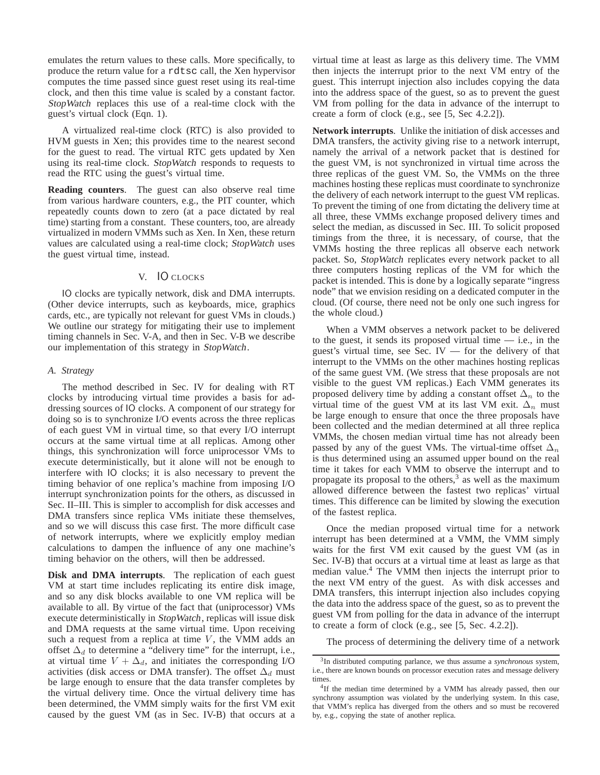emulates the return values to these calls. More specifically, to produce the return value for a rdtsc call, the Xen hypervisor computes the time passed since guest reset using its real-time clock, and then this time value is scaled by a constant factor. StopWatch replaces this use of a real-time clock with the guest's virtual clock (Eqn. 1).

A virtualized real-time clock (RTC) is also provided to HVM guests in Xen; this provides time to the nearest second for the guest to read. The virtual RTC gets updated by Xen using its real-time clock. StopWatch responds to requests to read the RTC using the guest's virtual time.

**Reading counters**. The guest can also observe real time from various hardware counters, e.g., the PIT counter, which repeatedly counts down to zero (at a pace dictated by real time) starting from a constant. These counters, too, are already virtualized in modern VMMs such as Xen. In Xen, these return values are calculated using a real-time clock; StopWatch uses the guest virtual time, instead.

# V. IO CLOCKS

IO clocks are typically network, disk and DMA interrupts. (Other device interrupts, such as keyboards, mice, graphics cards, etc., are typically not relevant for guest VMs in clouds.) We outline our strategy for mitigating their use to implement timing channels in Sec. V-A, and then in Sec. V-B we describe our implementation of this strategy in StopWatch.

# *A. Strategy*

The method described in Sec. IV for dealing with RT clocks by introducing virtual time provides a basis for addressing sources of IO clocks. A component of our strategy for doing so is to synchronize I/O events across the three replicas of each guest VM in virtual time, so that every I/O interrupt occurs at the same virtual time at all replicas. Among other things, this synchronization will force uniprocessor VMs to execute deterministically, but it alone will not be enough to interfere with IO clocks; it is also necessary to prevent the timing behavior of one replica's machine from imposing I/O interrupt synchronization points for the others, as discussed in Sec. II–III. This is simpler to accomplish for disk accesses and DMA transfers since replica VMs initiate these themselves, and so we will discuss this case first. The more difficult case of network interrupts, where we explicitly employ median calculations to dampen the influence of any one machine's timing behavior on the others, will then be addressed.

**Disk and DMA interrupts**. The replication of each guest VM at start time includes replicating its entire disk image, and so any disk blocks available to one VM replica will be available to all. By virtue of the fact that (uniprocessor) VMs execute deterministically in StopWatch, replicas will issue disk and DMA requests at the same virtual time. Upon receiving such a request from a replica at time  $V$ , the VMM adds an offset  $\Delta_d$  to determine a "delivery time" for the interrupt, i.e., at virtual time  $V + \Delta_d$ , and initiates the corresponding I/O activities (disk access or DMA transfer). The offset  $\Delta_d$  must be large enough to ensure that the data transfer completes by the virtual delivery time. Once the virtual delivery time has been determined, the VMM simply waits for the first VM exit caused by the guest VM (as in Sec. IV-B) that occurs at a virtual time at least as large as this delivery time. The VMM then injects the interrupt prior to the next VM entry of the guest. This interrupt injection also includes copying the data into the address space of the guest, so as to prevent the guest VM from polling for the data in advance of the interrupt to create a form of clock (e.g., see [5, Sec 4.2.2]).

**Network interrupts**. Unlike the initiation of disk accesses and DMA transfers, the activity giving rise to a network interrupt, namely the arrival of a network packet that is destined for the guest VM, is not synchronized in virtual time across the three replicas of the guest VM. So, the VMMs on the three machines hosting these replicas must coordinate to synchronize the delivery of each network interrupt to the guest VM replicas. To prevent the timing of one from dictating the delivery time at all three, these VMMs exchange proposed delivery times and select the median, as discussed in Sec. III. To solicit proposed timings from the three, it is necessary, of course, that the VMMs hosting the three replicas all observe each network packet. So, StopWatch replicates every network packet to all three computers hosting replicas of the VM for which the packet is intended. This is done by a logically separate "ingress node" that we envision residing on a dedicated computer in the cloud. (Of course, there need not be only one such ingress for the whole cloud.)

When a VMM observes a network packet to be delivered to the guest, it sends its proposed virtual time — i.e., in the guest's virtual time, see Sec. IV — for the delivery of that interrupt to the VMMs on the other machines hosting replicas of the same guest VM. (We stress that these proposals are not visible to the guest VM replicas.) Each VMM generates its proposed delivery time by adding a constant offset  $\Delta_n$  to the virtual time of the guest VM at its last VM exit.  $\Delta_n$  must be large enough to ensure that once the three proposals have been collected and the median determined at all three replica VMMs, the chosen median virtual time has not already been passed by any of the guest VMs. The virtual-time offset  $\Delta_n$ is thus determined using an assumed upper bound on the real time it takes for each VMM to observe the interrupt and to propagate its proposal to the others,<sup>3</sup> as well as the maximum allowed difference between the fastest two replicas' virtual times. This difference can be limited by slowing the execution of the fastest replica.

Once the median proposed virtual time for a network interrupt has been determined at a VMM, the VMM simply waits for the first VM exit caused by the guest VM (as in Sec. IV-B) that occurs at a virtual time at least as large as that median value.<sup>4</sup> The VMM then injects the interrupt prior to the next VM entry of the guest. As with disk accesses and DMA transfers, this interrupt injection also includes copying the data into the address space of the guest, so as to prevent the guest VM from polling for the data in advance of the interrupt to create a form of clock (e.g., see [5, Sec. 4.2.2]).

The process of determining the delivery time of a network

<sup>3</sup> In distributed computing parlance, we thus assume a *synchronous* system, i.e., there are known bounds on processor execution rates and message delivery times.

<sup>&</sup>lt;sup>4</sup>If the median time determined by a VMM has already passed, then our synchrony assumption was violated by the underlying system. In this case, that VMM's replica has diverged from the others and so must be recovered by, e.g., copying the state of another replica.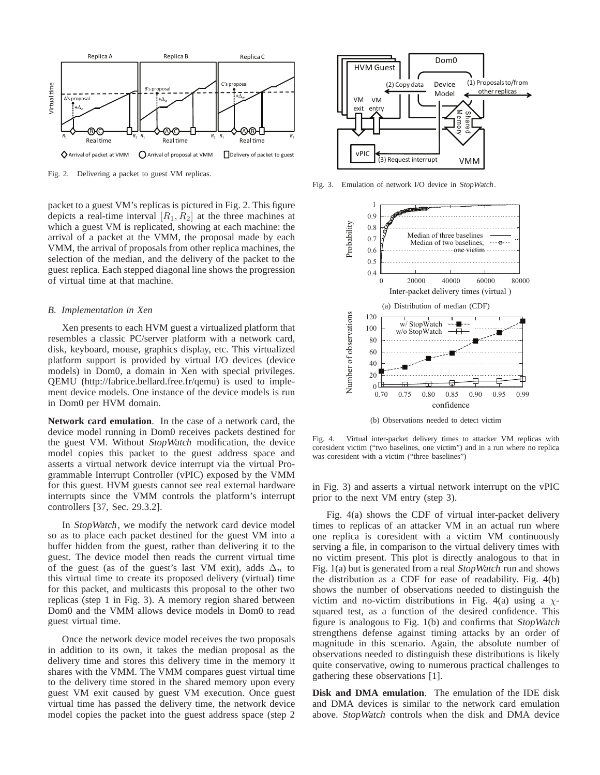

Fig. 2. Delivering a packet to guest VM replicas.

packet to a guest VM's replicas is pictured in Fig. 2. This figure depicts a real-time interval  $[R_1, R_2]$  at the three machines at which a guest VM is replicated, showing at each machine: the arrival of a packet at the VMM, the proposal made by each VMM, the arrival of proposals from other replica machines, the selection of the median, and the delivery of the packet to the guest replica. Each stepped diagonal line shows the progression of virtual time at that machine.

#### *B. Implementation in Xen*

Xen presents to each HVM guest a virtualized platform that resembles a classic PC/server platform with a network card, disk, keyboard, mouse, graphics display, etc. This virtualized platform support is provided by virtual I/O devices (device models) in Dom0, a domain in Xen with special privileges. QEMU (http://fabrice.bellard.free.fr/qemu) is used to implement device models. One instance of the device models is run in Dom0 per HVM domain.

**Network card emulation**. In the case of a network card, the device model running in Dom0 receives packets destined for the guest VM. Without StopWatch modification, the device model copies this packet to the guest address space and asserts a virtual network device interrupt via the virtual Programmable Interrupt Controller (vPIC) exposed by the VMM for this guest. HVM guests cannot see real external hardware interrupts since the VMM controls the platform's interrupt controllers [37, Sec. 29.3.2].

In StopWatch, we modify the network card device model so as to place each packet destined for the guest VM into a buffer hidden from the guest, rather than delivering it to the guest. The device model then reads the current virtual time of the guest (as of the guest's last VM exit), adds  $\Delta_n$  to this virtual time to create its proposed delivery (virtual) time for this packet, and multicasts this proposal to the other two replicas (step 1 in Fig. 3). A memory region shared between Dom0 and the VMM allows device models in Dom0 to read guest virtual time.

Once the network device model receives the two proposals in addition to its own, it takes the median proposal as the delivery time and stores this delivery time in the memory it shares with the VMM. The VMM compares guest virtual time to the delivery time stored in the shared memory upon every guest VM exit caused by guest VM execution. Once guest virtual time has passed the delivery time, the network device model copies the packet into the guest address space (step 2



Fig. 3. Emulation of network I/O device in StopWatch.



(b) Observations needed to detect victim

Fig. 4. Virtual inter-packet delivery times to attacker VM replicas with coresident victim ("two baselines, one victim") and in a run where no replica was coresident with a victim ("three baselines")

in Fig. 3) and asserts a virtual network interrupt on the vPIC prior to the next VM entry (step 3).

Fig. 4(a) shows the CDF of virtual inter-packet delivery times to replicas of an attacker VM in an actual run where one replica is coresident with a victim VM continuously serving a file, in comparison to the virtual delivery times with no victim present. This plot is directly analogous to that in Fig. 1(a) but is generated from a real StopWatch run and shows the distribution as a CDF for ease of readability. Fig. 4(b) shows the number of observations needed to distinguish the victim and no-victim distributions in Fig. 4(a) using a  $\chi$ squared test, as a function of the desired confidence. This figure is analogous to Fig. 1(b) and confirms that StopWatch strengthens defense against timing attacks by an order of magnitude in this scenario. Again, the absolute number of observations needed to distinguish these distributions is likely quite conservative, owing to numerous practical challenges to gathering these observations [1].

**Disk and DMA emulation**. The emulation of the IDE disk and DMA devices is similar to the network card emulation above. StopWatch controls when the disk and DMA device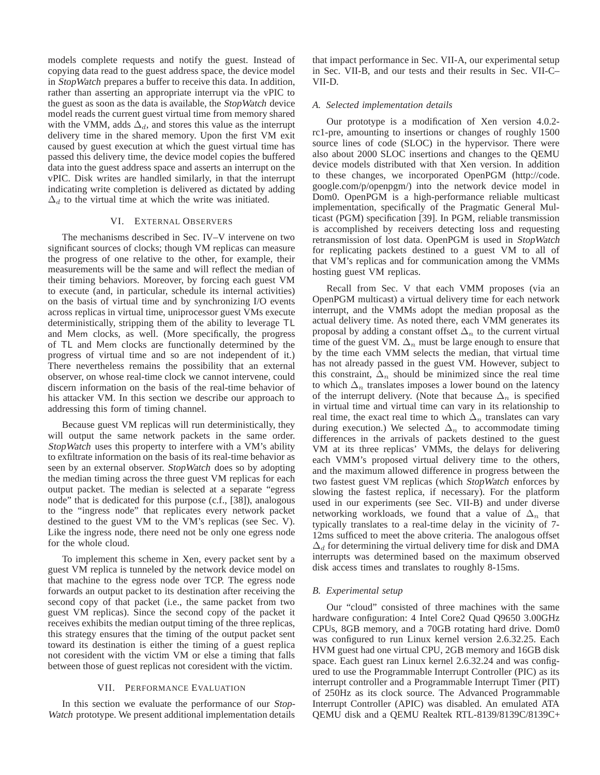models complete requests and notify the guest. Instead of copying data read to the guest address space, the device model in StopWatch prepares a buffer to receive this data. In addition, rather than asserting an appropriate interrupt via the vPIC to the guest as soon as the data is available, the StopWatch device model reads the current guest virtual time from memory shared with the VMM, adds  $\Delta_d$ , and stores this value as the interrupt delivery time in the shared memory. Upon the first VM exit caused by guest execution at which the guest virtual time has passed this delivery time, the device model copies the buffered data into the guest address space and asserts an interrupt on the vPIC. Disk writes are handled similarly, in that the interrupt indicating write completion is delivered as dictated by adding  $\Delta_d$  to the virtual time at which the write was initiated.

#### VI. EXTERNAL OBSERVERS

The mechanisms described in Sec. IV–V intervene on two significant sources of clocks; though VM replicas can measure the progress of one relative to the other, for example, their measurements will be the same and will reflect the median of their timing behaviors. Moreover, by forcing each guest VM to execute (and, in particular, schedule its internal activities) on the basis of virtual time and by synchronizing I/O events across replicas in virtual time, uniprocessor guest VMs execute deterministically, stripping them of the ability to leverage TL and Mem clocks, as well. (More specifically, the progress of TL and Mem clocks are functionally determined by the progress of virtual time and so are not independent of it.) There nevertheless remains the possibility that an external observer, on whose real-time clock we cannot intervene, could discern information on the basis of the real-time behavior of his attacker VM. In this section we describe our approach to addressing this form of timing channel.

Because guest VM replicas will run deterministically, they will output the same network packets in the same order. StopWatch uses this property to interfere with a VM's ability to exfiltrate information on the basis of its real-time behavior as seen by an external observer. StopWatch does so by adopting the median timing across the three guest VM replicas for each output packet. The median is selected at a separate "egress node" that is dedicated for this purpose (c.f., [38]), analogous to the "ingress node" that replicates every network packet destined to the guest VM to the VM's replicas (see Sec. V). Like the ingress node, there need not be only one egress node for the whole cloud.

To implement this scheme in Xen, every packet sent by a guest VM replica is tunneled by the network device model on that machine to the egress node over TCP. The egress node forwards an output packet to its destination after receiving the second copy of that packet (i.e., the same packet from two guest VM replicas). Since the second copy of the packet it receives exhibits the median output timing of the three replicas, this strategy ensures that the timing of the output packet sent toward its destination is either the timing of a guest replica not coresident with the victim VM or else a timing that falls between those of guest replicas not coresident with the victim.

### VII. PERFORMANCE EVALUATION

In this section we evaluate the performance of our Stop-Watch prototype. We present additional implementation details that impact performance in Sec. VII-A, our experimental setup in Sec. VII-B, and our tests and their results in Sec. VII-C– VII-D.

# *A. Selected implementation details*

Our prototype is a modification of Xen version 4.0.2 rc1-pre, amounting to insertions or changes of roughly 1500 source lines of code (SLOC) in the hypervisor. There were also about 2000 SLOC insertions and changes to the QEMU device models distributed with that Xen version. In addition to these changes, we incorporated OpenPGM (http://code. google.com/p/openpgm/) into the network device model in Dom0. OpenPGM is a high-performance reliable multicast implementation, specifically of the Pragmatic General Multicast (PGM) specification [39]. In PGM, reliable transmission is accomplished by receivers detecting loss and requesting retransmission of lost data. OpenPGM is used in StopWatch for replicating packets destined to a guest VM to all of that VM's replicas and for communication among the VMMs hosting guest VM replicas.

Recall from Sec. V that each VMM proposes (via an OpenPGM multicast) a virtual delivery time for each network interrupt, and the VMMs adopt the median proposal as the actual delivery time. As noted there, each VMM generates its proposal by adding a constant offset  $\Delta_n$  to the current virtual time of the guest VM.  $\Delta_n$  must be large enough to ensure that by the time each VMM selects the median, that virtual time has not already passed in the guest VM. However, subject to this constraint,  $\Delta_n$  should be minimized since the real time to which  $\Delta_n$  translates imposes a lower bound on the latency of the interrupt delivery. (Note that because  $\Delta_n$  is specified in virtual time and virtual time can vary in its relationship to real time, the exact real time to which  $\Delta_n$  translates can vary during execution.) We selected  $\Delta_n$  to accommodate timing differences in the arrivals of packets destined to the guest VM at its three replicas' VMMs, the delays for delivering each VMM's proposed virtual delivery time to the others, and the maximum allowed difference in progress between the two fastest guest VM replicas (which StopWatch enforces by slowing the fastest replica, if necessary). For the platform used in our experiments (see Sec. VII-B) and under diverse networking workloads, we found that a value of  $\Delta_n$  that typically translates to a real-time delay in the vicinity of 7- 12ms sufficed to meet the above criteria. The analogous offset  $\Delta_d$  for determining the virtual delivery time for disk and DMA interrupts was determined based on the maximum observed disk access times and translates to roughly 8-15ms.

# *B. Experimental setup*

Our "cloud" consisted of three machines with the same hardware configuration: 4 Intel Core2 Quad Q9650 3.00GHz CPUs, 8GB memory, and a 70GB rotating hard drive. Dom0 was configured to run Linux kernel version 2.6.32.25. Each HVM guest had one virtual CPU, 2GB memory and 16GB disk space. Each guest ran Linux kernel 2.6.32.24 and was configured to use the Programmable Interrupt Controller (PIC) as its interrupt controller and a Programmable Interrupt Timer (PIT) of 250Hz as its clock source. The Advanced Programmable Interrupt Controller (APIC) was disabled. An emulated ATA QEMU disk and a QEMU Realtek RTL-8139/8139C/8139C+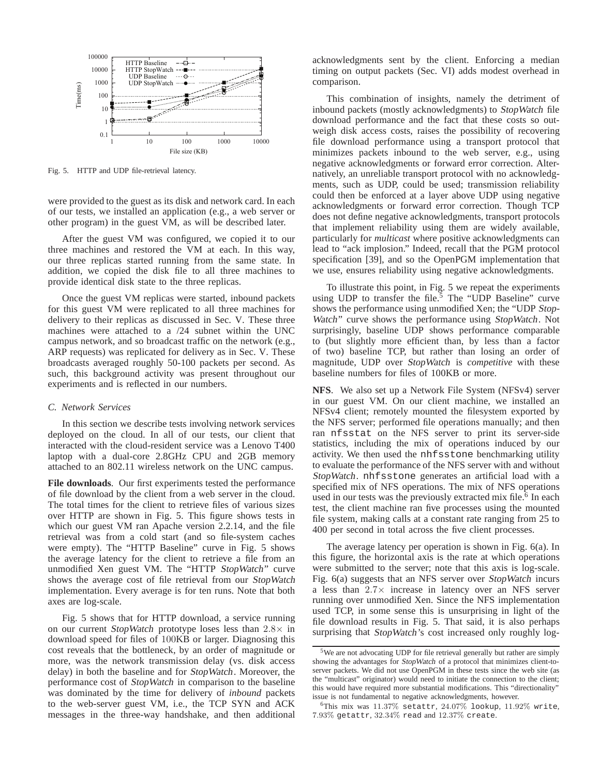

Fig. 5. HTTP and UDP file-retrieval latency.

were provided to the guest as its disk and network card. In each of our tests, we installed an application (e.g., a web server or other program) in the guest VM, as will be described later.

After the guest VM was configured, we copied it to our three machines and restored the VM at each. In this way, our three replicas started running from the same state. In addition, we copied the disk file to all three machines to provide identical disk state to the three replicas.

Once the guest VM replicas were started, inbound packets for this guest VM were replicated to all three machines for delivery to their replicas as discussed in Sec. V. These three machines were attached to a /24 subnet within the UNC campus network, and so broadcast traffic on the network (e.g., ARP requests) was replicated for delivery as in Sec. V. These broadcasts averaged roughly 50-100 packets per second. As such, this background activity was present throughout our experiments and is reflected in our numbers.

#### *C. Network Services*

In this section we describe tests involving network services deployed on the cloud. In all of our tests, our client that interacted with the cloud-resident service was a Lenovo T400 laptop with a dual-core 2.8GHz CPU and 2GB memory attached to an 802.11 wireless network on the UNC campus.

**File downloads**. Our first experiments tested the performance of file download by the client from a web server in the cloud. The total times for the client to retrieve files of various sizes over HTTP are shown in Fig. 5. This figure shows tests in which our guest VM ran Apache version 2.2.14, and the file retrieval was from a cold start (and so file-system caches were empty). The "HTTP Baseline" curve in Fig. 5 shows the average latency for the client to retrieve a file from an unmodified Xen guest VM. The "HTTP StopWatch" curve shows the average cost of file retrieval from our StopWatch implementation. Every average is for ten runs. Note that both axes are log-scale.

Fig. 5 shows that for HTTP download, a service running on our current StopWatch prototype loses less than  $2.8\times$  in download speed for files of 100KB or larger. Diagnosing this cost reveals that the bottleneck, by an order of magnitude or more, was the network transmission delay (vs. disk access delay) in both the baseline and for StopWatch. Moreover, the performance cost of StopWatch in comparison to the baseline was dominated by the time for delivery of *inbound* packets to the web-server guest VM, i.e., the TCP SYN and ACK messages in the three-way handshake, and then additional acknowledgments sent by the client. Enforcing a median timing on output packets (Sec. VI) adds modest overhead in comparison.

This combination of insights, namely the detriment of inbound packets (mostly acknowledgments) to StopWatch file download performance and the fact that these costs so outweigh disk access costs, raises the possibility of recovering file download performance using a transport protocol that minimizes packets inbound to the web server, e.g., using negative acknowledgments or forward error correction. Alternatively, an unreliable transport protocol with no acknowledgments, such as UDP, could be used; transmission reliability could then be enforced at a layer above UDP using negative acknowledgments or forward error correction. Though TCP does not define negative acknowledgments, transport protocols that implement reliability using them are widely available, particularly for *multicast* where positive acknowledgments can lead to "ack implosion." Indeed, recall that the PGM protocol specification [39], and so the OpenPGM implementation that we use, ensures reliability using negative acknowledgments.

To illustrate this point, in Fig. 5 we repeat the experiments using UDP to transfer the file.<sup>5</sup> The "UDP Baseline" curve shows the performance using unmodified Xen; the "UDP Stop-Watch" curve shows the performance using StopWatch. Not surprisingly, baseline UDP shows performance comparable to (but slightly more efficient than, by less than a factor of two) baseline TCP, but rather than losing an order of magnitude, UDP over StopWatch is *competitive* with these baseline numbers for files of 100KB or more.

**NFS**. We also set up a Network File System (NFSv4) server in our guest VM. On our client machine, we installed an NFSv4 client; remotely mounted the filesystem exported by the NFS server; performed file operations manually; and then ran nfsstat on the NFS server to print its server-side statistics, including the mix of operations induced by our activity. We then used the nhfsstone benchmarking utility to evaluate the performance of the NFS server with and without StopWatch. nhfsstone generates an artificial load with a specified mix of NFS operations. The mix of NFS operations used in our tests was the previously extracted mix file. $\overline{6}$  In each test, the client machine ran five processes using the mounted file system, making calls at a constant rate ranging from 25 to 400 per second in total across the five client processes.

The average latency per operation is shown in Fig. 6(a). In this figure, the horizontal axis is the rate at which operations were submitted to the server; note that this axis is log-scale. Fig. 6(a) suggests that an NFS server over StopWatch incurs a less than 2.7× increase in latency over an NFS server running over unmodified Xen. Since the NFS implementation used TCP, in some sense this is unsurprising in light of the file download results in Fig. 5. That said, it is also perhaps surprising that *StopWatch's* cost increased only roughly log-

<sup>5</sup>We are not advocating UDP for file retrieval generally but rather are simply showing the advantages for StopWatch of a protocol that minimizes client-toserver packets. We did not use OpenPGM in these tests since the web site (as the "multicast" originator) would need to initiate the connection to the client; this would have required more substantial modifications. This "directionality" issue is not fundamental to negative acknowledgments, however.

 $6$ This mix was 11.37% setattr, 24.07% lookup, 11.92% write, 7.93% getattr, 32.34% read and 12.37% create.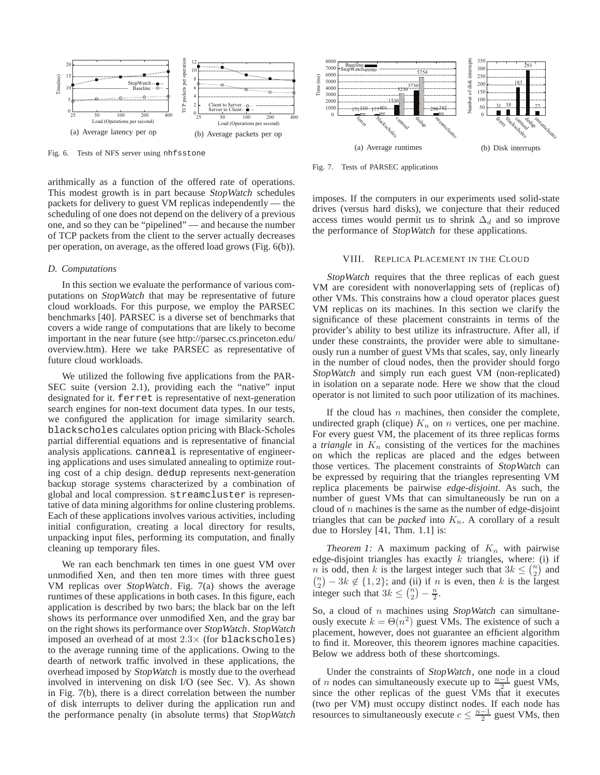

Fig. 6. Tests of NFS server using nhfsstone

arithmically as a function of the offered rate of operations. This modest growth is in part because StopWatch schedules packets for delivery to guest VM replicas independently — the scheduling of one does not depend on the delivery of a previous one, and so they can be "pipelined" — and because the number of TCP packets from the client to the server actually decreases per operation, on average, as the offered load grows (Fig. 6(b)).

### *D. Computations*

In this section we evaluate the performance of various computations on StopWatch that may be representative of future cloud workloads. For this purpose, we employ the PARSEC benchmarks [40]. PARSEC is a diverse set of benchmarks that covers a wide range of computations that are likely to become important in the near future (see http://parsec.cs.princeton.edu/ overview.htm). Here we take PARSEC as representative of future cloud workloads.

We utilized the following five applications from the PAR-SEC suite (version 2.1), providing each the "native" input designated for it. ferret is representative of next-generation search engines for non-text document data types. In our tests, we configured the application for image similarity search. blackscholes calculates option pricing with Black-Scholes partial differential equations and is representative of financial analysis applications. canneal is representative of engineering applications and uses simulated annealing to optimize routing cost of a chip design. dedup represents next-generation backup storage systems characterized by a combination of global and local compression. streamcluster is representative of data mining algorithms for online clustering problems. Each of these applications involves various activities, including initial configuration, creating a local directory for results, unpacking input files, performing its computation, and finally cleaning up temporary files.

We ran each benchmark ten times in one guest VM over unmodified Xen, and then ten more times with three guest VM replicas over StopWatch. Fig. 7(a) shows the average runtimes of these applications in both cases. In this figure, each application is described by two bars; the black bar on the left shows its performance over unmodified Xen, and the gray bar on the right shows its performance over StopWatch. StopWatch imposed an overhead of at most  $2.3 \times$  (for blackscholes) to the average running time of the applications. Owing to the dearth of network traffic involved in these applications, the overhead imposed by StopWatch is mostly due to the overhead involved in intervening on disk I/O (see Sec. V). As shown in Fig. 7(b), there is a direct correlation between the number of disk interrupts to deliver during the application run and the performance penalty (in absolute terms) that StopWatch



Fig. 7. Tests of PARSEC applications

imposes. If the computers in our experiments used solid-state drives (versus hard disks), we conjecture that their reduced access times would permit us to shrink  $\Delta_d$  and so improve the performance of StopWatch for these applications.

### VIII. REPLICA PLACEMENT IN THE CLOUD

StopWatch requires that the three replicas of each guest VM are coresident with nonoverlapping sets of (replicas of) other VMs. This constrains how a cloud operator places guest VM replicas on its machines. In this section we clarify the significance of these placement constraints in terms of the provider's ability to best utilize its infrastructure. After all, if under these constraints, the provider were able to simultaneously run a number of guest VMs that scales, say, only linearly in the number of cloud nodes, then the provider should forgo StopWatch and simply run each guest VM (non-replicated) in isolation on a separate node. Here we show that the cloud operator is not limited to such poor utilization of its machines.

If the cloud has  $n$  machines, then consider the complete, undirected graph (clique)  $K_n$  on n vertices, one per machine. For every guest VM, the placement of its three replicas forms a *triangle* in  $K_n$  consisting of the vertices for the machines on which the replicas are placed and the edges between those vertices. The placement constraints of StopWatch can be expressed by requiring that the triangles representing VM replica placements be pairwise *edge-disjoint*. As such, the number of guest VMs that can simultaneously be run on a cloud of  $n$  machines is the same as the number of edge-disjoint triangles that can be *packed* into  $K_n$ . A corollary of a result due to Horsley [41, Thm. 1.1] is:

*Theorem 1:* A maximum packing of  $K_n$  with pairwise edge-disjoint triangles has exactly  $k$  triangles, where: (i) if *n* is odd, then k is the largest integer such that  $3k \leq {n \choose 2}$  and  ${n \choose 2} - 3k \notin \{1,2\}$ ; and (ii) if n is even, then k is the largest integer such that  $3k \leq {n \choose 2} - \frac{n}{2}$ .

So, a cloud of  $n$  machines using StopWatch can simultaneously execute  $k = \Theta(n^2)$  guest VMs. The existence of such a placement, however, does not guarantee an efficient algorithm to find it. Moreover, this theorem ignores machine capacities. Below we address both of these shortcomings.

Under the constraints of StopWatch, one node in a cloud of *n* nodes can simultaneously execute up to  $\frac{n-1}{2}$  guest VMs, since the other replicas of the guest VMs that it executes (two per VM) must occupy distinct nodes. If each node has resources to simultaneously execute  $c \leq \frac{n-1}{2}$  guest VMs, then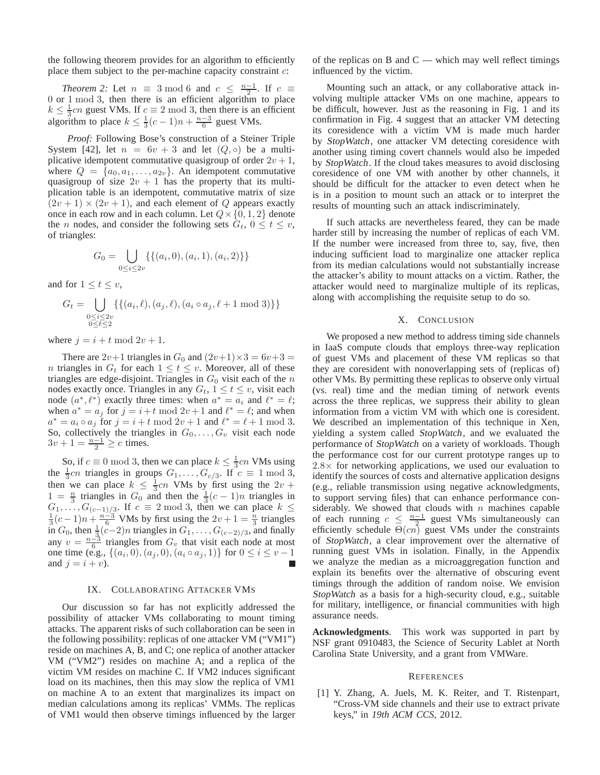the following theorem provides for an algorithm to efficiently place them subject to the per-machine capacity constraint  $c$ :

*Theorem 2:* Let  $n \equiv 3 \mod 6$  and  $c \leq \frac{n-1}{2}$ . If  $c \equiv$ 0 or 1 mod 3, then there is an efficient algorithm to place  $k \leq \frac{1}{3}cn$  guest VMs. If  $c \equiv 2 \mod 3$ , then there is an efficient algorithm to place  $k \leq \frac{1}{3}(c-1)n + \frac{n-3}{6}$  guest VMs.

*Proof:* Following Bose's construction of a Steiner Triple System [42], let  $n = 6v + 3$  and let  $(Q, \circ)$  be a multiplicative idempotent commutative quasigroup of order  $2v + 1$ , where  $Q = \{a_0, a_1, \ldots, a_{2v}\}.$  An idempotent commutative quasigroup of size  $2v + 1$  has the property that its multiplication table is an idempotent, commutative matrix of size  $(2v + 1) \times (2v + 1)$ , and each element of Q appears exactly once in each row and in each column. Let  $Q \times \{0, 1, 2\}$  denote the *n* nodes, and consider the following sets  $G_t$ ,  $0 \le t \le v$ , of triangles:

$$
G_0 = \bigcup_{0 \le i \le 2v} \{ \{ (a_i, 0), (a_i, 1), (a_i, 2) \} \}
$$

and for  $1 \le t \le v$ ,

$$
G_t = \bigcup_{\substack{0 \le i \le 2v \\ 0 \le \ell \le 2}} \{ \{ (a_i, \ell), (a_j, \ell), (a_i \circ a_j, \ell + 1 \mod 3) \} \}
$$

where  $j = i + t \mod 2v + 1$ .

There are  $2v+1$  triangles in  $G_0$  and  $(2v+1)\times 3 = 6v+3$ *n* triangles in  $G_t$  for each  $1 \le t \le v$ . Moreover, all of these triangles are edge-disjoint. Triangles in  $G_0$  visit each of the n nodes exactly once. Triangles in any  $G_t$ ,  $1 \le t \le v$ , visit each node  $(a^*, \ell^*)$  exactly three times: when  $a^* = a_i$  and  $\ell^* = \ell;$ when  $a^* = a_j$  for  $j = i + t \mod 2v + 1$  and  $\ell^* = \ell$ ; and when  $a^* = a_i \circ a_j$  for  $j = i + t \mod 2v + 1$  and  $\ell^* = \ell + 1 \mod 3$ . So, collectively the triangles in  $G_0, \ldots, G_v$  visit each node  $3v + 1 = \frac{n-1}{2} \ge c$  times.

So, if  $c \equiv 0 \mod 3$ , then we can place  $k \leq \frac{1}{3}cn$  VMs using the  $\frac{1}{3}cn$  triangles in groups  $G_1, \ldots, G_{c/3}$ . If  $c \equiv 1 \mod 3$ , then we can place  $k \leq \frac{1}{3}cn$  VMs by first using the  $2v +$  $1 = \frac{n}{3}$  triangles in  $G_0$  and then the  $\frac{1}{3}(c-1)n$  triangles in  $G_1, \ldots, G_{(c-1)/3}$ . If  $c \equiv 2 \mod 3$ , then we can place  $k \leq$  $\frac{1}{3}(c-1)n + \frac{n-3}{6}$  VMs by first using the  $2v+1 = \frac{n}{3}$  triangles in  $G_0$ , then  $\frac{1}{3}(c-2)n$  triangles in  $G_1, \ldots, G_{(c-2)/3}$ , and finally any  $v = \frac{n-3}{6}$  triangles from  $G_v$  that visit each node at most one time (e.g.,  $\{(a_i, 0), (a_j, 0), (a_i \circ a_j, 1)\}$  for  $0 \le i \le v - 1$ and  $j = i + v$ ).

### IX. COLLABORATING ATTACKER VMS

Our discussion so far has not explicitly addressed the possibility of attacker VMs collaborating to mount timing attacks. The apparent risks of such collaboration can be seen in the following possibility: replicas of one attacker VM ("VM1") reside on machines A, B, and C; one replica of another attacker VM ("VM2") resides on machine A; and a replica of the victim VM resides on machine C. If VM2 induces significant load on its machines, then this may slow the replica of VM1 on machine A to an extent that marginalizes its impact on median calculations among its replicas' VMMs. The replicas of VM1 would then observe timings influenced by the larger

of the replicas on B and  $C$  — which may well reflect timings influenced by the victim.

Mounting such an attack, or any collaborative attack involving multiple attacker VMs on one machine, appears to be difficult, however. Just as the reasoning in Fig. 1 and its confirmation in Fig. 4 suggest that an attacker VM detecting its coresidence with a victim VM is made much harder by StopWatch, one attacker VM detecting coresidence with another using timing covert channels would also be impeded by StopWatch. If the cloud takes measures to avoid disclosing coresidence of one VM with another by other channels, it should be difficult for the attacker to even detect when he is in a position to mount such an attack or to interpret the results of mounting such an attack indiscriminately.

If such attacks are nevertheless feared, they can be made harder still by increasing the number of replicas of each VM. If the number were increased from three to, say, five, then inducing sufficient load to marginalize one attacker replica from its median calculations would not substantially increase the attacker's ability to mount attacks on a victim. Rather, the attacker would need to marginalize multiple of its replicas, along with accomplishing the requisite setup to do so.

#### X. CONCLUSION

We proposed a new method to address timing side channels in IaaS compute clouds that employs three-way replication of guest VMs and placement of these VM replicas so that they are coresident with nonoverlapping sets of (replicas of) other VMs. By permitting these replicas to observe only virtual (vs. real) time and the median timing of network events across the three replicas, we suppress their ability to glean information from a victim VM with which one is coresident. We described an implementation of this technique in Xen, yielding a system called StopWatch, and we evaluated the performance of StopWatch on a variety of workloads. Though the performance cost for our current prototype ranges up to  $2.8\times$  for networking applications, we used our evaluation to identify the sources of costs and alternative application designs (e.g., reliable transmission using negative acknowledgments, to support serving files) that can enhance performance considerably. We showed that clouds with  $n$  machines capable of each running  $c \leq \frac{n-1}{2}$  guest VMs simultaneously can efficiently schedule  $\Theta(cn)$  guest VMs under the constraints of StopWatch, a clear improvement over the alternative of running guest VMs in isolation. Finally, in the Appendix we analyze the median as a microaggregation function and explain its benefits over the alternative of obscuring event timings through the addition of random noise. We envision StopWatch as a basis for a high-security cloud, e.g., suitable for military, intelligence, or financial communities with high assurance needs.

**Acknowledgments**. This work was supported in part by NSF grant 0910483, the Science of Security Lablet at North Carolina State University, and a grant from VMWare.

### **REFERENCES**

[1] Y. Zhang, A. Juels, M. K. Reiter, and T. Ristenpart, "Cross-VM side channels and their use to extract private keys," in *19th ACM CCS*, 2012.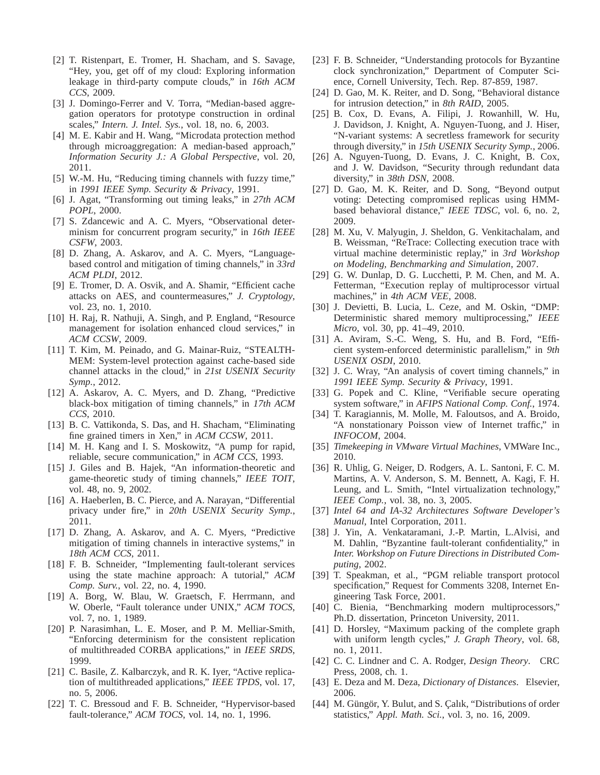- [2] T. Ristenpart, E. Tromer, H. Shacham, and S. Savage, "Hey, you, get off of my cloud: Exploring information leakage in third-party compute clouds," in *16th ACM CCS*, 2009.
- [3] J. Domingo-Ferrer and V. Torra, "Median-based aggregation operators for prototype construction in ordinal scales," *Intern. J. Intel. Sys.*, vol. 18, no. 6, 2003.
- [4] M. E. Kabir and H. Wang, "Microdata protection method through microaggregation: A median-based approach," *Information Security J.: A Global Perspective*, vol. 20, 2011.
- [5] W.-M. Hu, "Reducing timing channels with fuzzy time," in *1991 IEEE Symp. Security & Privacy*, 1991.
- [6] J. Agat, "Transforming out timing leaks," in *27th ACM POPL*, 2000.
- [7] S. Zdancewic and A. C. Myers, "Observational determinism for concurrent program security," in *16th IEEE CSFW*, 2003.
- [8] D. Zhang, A. Askarov, and A. C. Myers, "Languagebased control and mitigation of timing channels," in *33rd ACM PLDI*, 2012.
- [9] E. Tromer, D. A. Osvik, and A. Shamir, "Efficient cache attacks on AES, and countermeasures," *J. Cryptology*, vol. 23, no. 1, 2010.
- [10] H. Raj, R. Nathuji, A. Singh, and P. England, "Resource management for isolation enhanced cloud services," in *ACM CCSW*, 2009.
- [11] T. Kim, M. Peinado, and G. Mainar-Ruiz, "STEALTH-MEM: System-level protection against cache-based side channel attacks in the cloud," in *21st USENIX Security Symp.*, 2012.
- [12] A. Askarov, A. C. Myers, and D. Zhang, "Predictive black-box mitigation of timing channels," in *17th ACM CCS*, 2010.
- [13] B. C. Vattikonda, S. Das, and H. Shacham, "Eliminating fine grained timers in Xen," in *ACM CCSW*, 2011.
- [14] M. H. Kang and I. S. Moskowitz, "A pump for rapid, reliable, secure communication," in *ACM CCS*, 1993.
- [15] J. Giles and B. Hajek, "An information-theoretic and game-theoretic study of timing channels," *IEEE TOIT*, vol. 48, no. 9, 2002.
- [16] A. Haeberlen, B. C. Pierce, and A. Narayan, "Differential privacy under fire," in *20th USENIX Security Symp.*, 2011.
- [17] D. Zhang, A. Askarov, and A. C. Myers, "Predictive mitigation of timing channels in interactive systems," in *18th ACM CCS*, 2011.
- [18] F. B. Schneider, "Implementing fault-tolerant services using the state machine approach: A tutorial," *ACM Comp. Surv.*, vol. 22, no. 4, 1990.
- [19] A. Borg, W. Blau, W. Graetsch, F. Herrmann, and W. Oberle, "Fault tolerance under UNIX," *ACM TOCS*, vol. 7, no. 1, 1989.
- [20] P. Narasimhan, L. E. Moser, and P. M. Melliar-Smith, "Enforcing determinism for the consistent replication of multithreaded CORBA applications," in *IEEE SRDS*, 1999.
- [21] C. Basile, Z. Kalbarczyk, and R. K. Iyer, "Active replication of multithreaded applications," *IEEE TPDS*, vol. 17, no. 5, 2006.
- [22] T. C. Bressoud and F. B. Schneider, "Hypervisor-based fault-tolerance," *ACM TOCS*, vol. 14, no. 1, 1996.
- [23] F. B. Schneider, "Understanding protocols for Byzantine clock synchronization," Department of Computer Science, Cornell University, Tech. Rep. 87-859, 1987.
- [24] D. Gao, M. K. Reiter, and D. Song, "Behavioral distance for intrusion detection," in *8th RAID*, 2005.
- [25] B. Cox, D. Evans, A. Filipi, J. Rowanhill, W. Hu, J. Davidson, J. Knight, A. Nguyen-Tuong, and J. Hiser, "N-variant systems: A secretless framework for security through diversity," in *15th USENIX Security Symp.*, 2006.
- [26] A. Nguyen-Tuong, D. Evans, J. C. Knight, B. Cox, and J. W. Davidson, "Security through redundant data diversity," in *38th DSN*, 2008.
- [27] D. Gao, M. K. Reiter, and D. Song, "Beyond output voting: Detecting compromised replicas using HMMbased behavioral distance," *IEEE TDSC*, vol. 6, no. 2, 2009.
- [28] M. Xu, V. Malyugin, J. Sheldon, G. Venkitachalam, and B. Weissman, "ReTrace: Collecting execution trace with virtual machine deterministic replay," in *3rd Workshop on Modeling, Benchmarking and Simulation*, 2007.
- [29] G. W. Dunlap, D. G. Lucchetti, P. M. Chen, and M. A. Fetterman, "Execution replay of multiprocessor virtual machines," in *4th ACM VEE*, 2008.
- [30] J. Devietti, B. Lucia, L. Ceze, and M. Oskin, "DMP: Deterministic shared memory multiprocessing," *IEEE Micro*, vol. 30, pp. 41–49, 2010.
- [31] A. Aviram, S.-C. Weng, S. Hu, and B. Ford, "Efficient system-enforced deterministic parallelism," in *9th USENIX OSDI*, 2010.
- [32] J. C. Wray, "An analysis of covert timing channels," in *1991 IEEE Symp. Security & Privacy*, 1991.
- [33] G. Popek and C. Kline, "Verifiable secure operating system software," in *AFIPS National Comp. Conf.*, 1974.
- [34] T. Karagiannis, M. Molle, M. Faloutsos, and A. Broido, "A nonstationary Poisson view of Internet traffic," in *INFOCOM*, 2004.
- [35] *Timekeeping in VMware Virtual Machines*, VMWare Inc., 2010.
- [36] R. Uhlig, G. Neiger, D. Rodgers, A. L. Santoni, F. C. M. Martins, A. V. Anderson, S. M. Bennett, A. Kagi, F. H. Leung, and L. Smith, "Intel virtualization technology," *IEEE Comp.*, vol. 38, no. 3, 2005.
- [37] *Intel 64 and IA-32 Architectures Software Developer's Manual*, Intel Corporation, 2011.
- [38] J. Yin, A. Venkataramani, J.-P. Martin, L.Alvisi, and M. Dahlin, "Byzantine fault-tolerant confidentiality," in *Inter. Workshop on Future Directions in Distributed Computing*, 2002.
- [39] T. Speakman, et al., "PGM reliable transport protocol specification," Request for Comments 3208, Internet Engineering Task Force, 2001.
- [40] C. Bienia, "Benchmarking modern multiprocessors," Ph.D. dissertation, Princeton University, 2011.
- [41] D. Horsley, "Maximum packing of the complete graph with uniform length cycles," *J. Graph Theory*, vol. 68, no. 1, 2011.
- [42] C. C. Lindner and C. A. Rodger, *Design Theory*. CRC Press, 2008, ch. 1.
- [43] E. Deza and M. Deza, *Dictionary of Distances*. Elsevier, 2006.
- [44] M. Güngör, Y. Bulut, and S. Çalık, "Distributions of order statistics," *Appl. Math. Sci.*, vol. 3, no. 16, 2009.